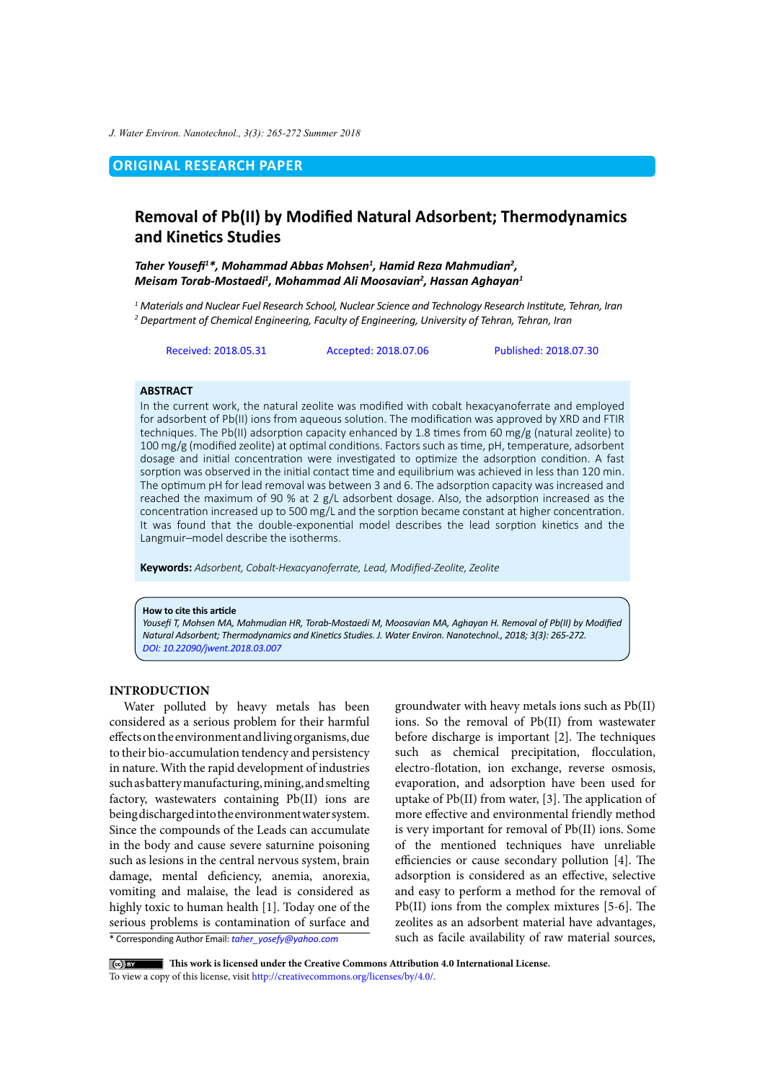*J. Water Environ. Nanotechnol., 3(3): 265-272 Summer 2018*

# **ORIGINAL RESEARCH PAPER**

# **Removal of Pb(II) by Modified Natural Adsorbent; Thermodynamics and Kinetics Studies**

*Taher Yousefi<sup>1</sup> \*, Mohammad Abbas Mohsen1 , Hamid Reza Mahmudian2 , Meisam Torab-Mostaedi1 , Mohammad Ali Moosavian2 , Hassan Aghayan1*

*1 Materials and Nuclear Fuel Research School, Nuclear Science and Technology Research Institute, Tehran, Iran 2 Department of Chemical Engineering, Faculty of Engineering, University of Tehran, Tehran, Iran*

Received: 2018.05.31 Accepted: 2018.07.06 Published: 2018.07.30

## **ABSTRACT**

In the current work, the natural zeolite was modified with cobalt hexacyanoferrate and employed for adsorbent of Pb(II) ions from aqueous solution. The modification was approved by XRD and FTIR techniques. The Pb(II) adsorption capacity enhanced by 1.8 times from 60 mg/g (natural zeolite) to 100 mg/g (modified zeolite) at optimal conditions. Factors such as time, pH, temperature, adsorbent dosage and initial concentration were investigated to optimize the adsorption condition. A fast sorption was observed in the initial contact time and equilibrium was achieved in less than 120 min. The optimum pH for lead removal was between 3 and 6. The adsorption capacity was increased and reached the maximum of 90 % at 2 g/L adsorbent dosage. Also, the adsorption increased as the concentration increased up to 500 mg/L and the sorption became constant at higher concentration. It was found that the double-exponential model describes the lead sorption kinetics and the Langmuir–model describe the isotherms.

**Keywords:** *Adsorbent, Cobalt-Hexacyanoferrate, Lead, Modified-Zeolite, Zeolite*

#### **How to cite this article**

*Yousefi T, Mohsen MA, Mahmudian HR, Torab-Mostaedi M, Moosavian MA, Aghayan H. Removal of Pb(II) by Modified Natural Adsorbent; Thermodynamics and Kinetics Studies. J. Water Environ. Nanotechnol., 2018; 3(3): 265-272. [DOI: 10.22090/jwent.2018.03.00](DX.DOI.ORG/10.22090/jwent.2018.01.008)7*

# **INTRODUCTION**

\* Corresponding Author Email: *taher\_yosefy@yahoo.com* Water polluted by heavy metals has been considered as a serious problem for their harmful effects on the environment and living organisms, due to their bio-accumulation tendency and persistency in nature. With the rapid development of industries such as battery manufacturing, mining, and smelting factory, wastewaters containing Pb(II) ions are being discharged into the environment water system. Since the compounds of the Leads can accumulate in the body and cause severe saturnine poisoning such as lesions in the central nervous system, brain damage, mental deficiency, anemia, anorexia, vomiting and malaise, the lead is considered as highly toxic to human health [1]. Today one of the serious problems is contamination of surface and

groundwater with heavy metals ions such as Pb(II) ions. So the removal of Pb(II) from wastewater before discharge is important [2]. The techniques such as chemical precipitation, flocculation, electro-flotation, ion exchange, reverse osmosis, evaporation, and adsorption have been used for uptake of Pb(II) from water, [3]. The application of more effective and environmental friendly method is very important for removal of Pb(II) ions. Some of the mentioned techniques have unreliable efficiencies or cause secondary pollution [4]. The adsorption is considered as an effective, selective and easy to perform a method for the removal of Pb(II) ions from the complex mixtures [5-6]. The zeolites as an adsorbent material have advantages, such as facile availability of raw material sources,

 **This work is licensed under the Creative Commons Attribution 4.0 International License.**

To view a copy of this license, visit<http://creativecommons.org/licenses/by/4.0/.>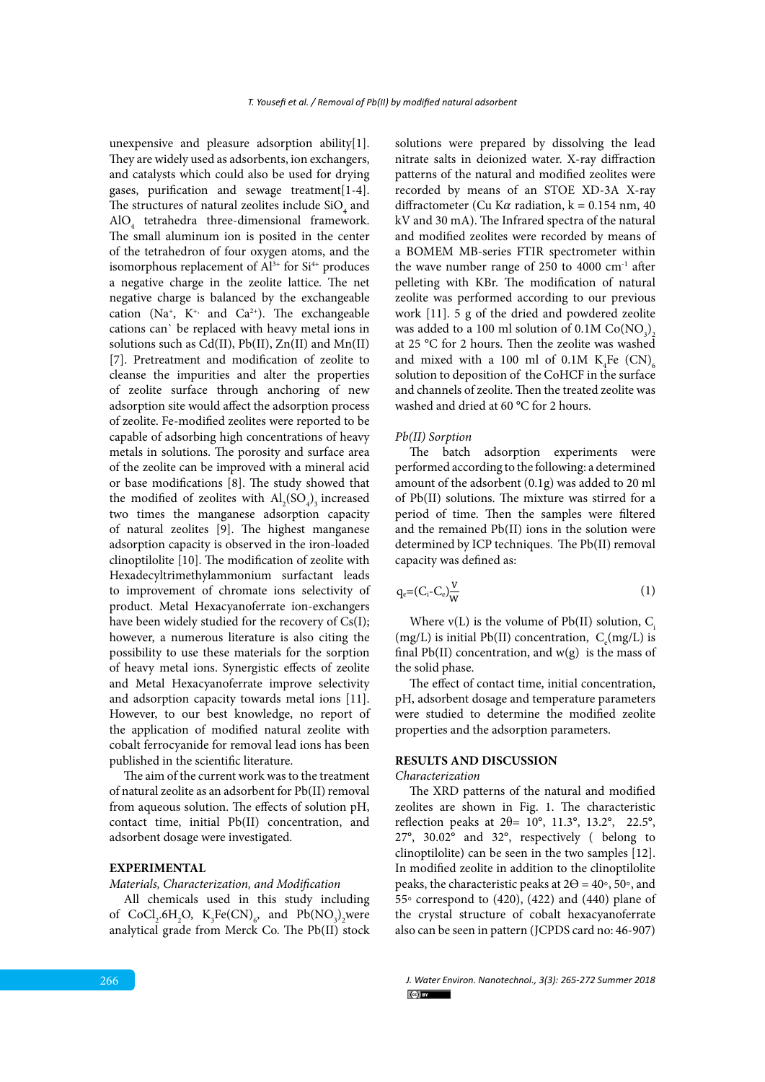unexpensive and pleasure adsorption ability[1]. They are widely used as adsorbents, ion exchangers, and catalysts which could also be used for drying gases, purification and sewage treatment[1-4]. The structures of natural zeolites include  $\mathrm{SiO}_4^{}$  and  $\text{AlO}_4$  tetrahedra three-dimensional framework. The small aluminum ion is posited in the center of the tetrahedron of four oxygen atoms, and the isomorphous replacement of  $Al^{3+}$  for  $Si^{4+}$  produces a negative charge in the zeolite lattice. The net negative charge is balanced by the exchangeable cation (Na<sup>+</sup>, K<sup>+,</sup> and Ca<sup>2+</sup>). The exchangeable cations can` be replaced with heavy metal ions in solutions such as  $Cd(II)$ ,  $Pb(II)$ ,  $Zn(II)$  and  $Mn(II)$ [7]. Pretreatment and modification of zeolite to cleanse the impurities and alter the properties of zeolite surface through anchoring of new adsorption site would affect the adsorption process of zeolite. Fe-modified zeolites were reported to be capable of adsorbing high concentrations of heavy metals in solutions. The porosity and surface area of the zeolite can be improved with a mineral acid or base modifications [8]. The study showed that the modified of zeolites with  $\text{Al}_2(\text{SO}_4)$ <sub>3</sub> increased two times the manganese adsorption capacity of natural zeolites [9]. The highest manganese adsorption capacity is observed in the iron-loaded clinoptilolite [10]. The modification of zeolite with Hexadecyltrimethylammonium surfactant leads to improvement of chromate ions selectivity of product. Metal Hexacyanoferrate ion-exchangers have been widely studied for the recovery of Cs(I); however, a numerous literature is also citing the possibility to use these materials for the sorption of heavy metal ions. Synergistic effects of zeolite and Metal Hexacyanoferrate improve selectivity and adsorption capacity towards metal ions [11]. However, to our best knowledge, no report of the application of modified natural zeolite with cobalt ferrocyanide for removal lead ions has been published in the scientific literature.

The aim of the current work was to the treatment of natural zeolite as an adsorbent for Pb(II) removal from aqueous solution. The effects of solution pH, contact time, initial Pb(II) concentration, and adsorbent dosage were investigated.

### **EXPERIMENTAL**

*Materials, Characterization, and Modification*

All chemicals used in this study including of  $CoCl<sub>2</sub>$ .6H<sub>2</sub>O,  $K<sub>3</sub>Fe(CN)<sub>6</sub>$ , and  $Pb(NO<sub>3</sub>)<sub>2</sub>$ were analytical grade from Merck Co. The Pb(II) stock

solutions were prepared by dissolving the lead nitrate salts in deionized water. X-ray diffraction patterns of the natural and modified zeolites were recorded by means of an STOE XD-3A X-ray diffractometer (Cu K $\alpha$  radiation, k = 0.154 nm, 40 kV and 30 mA). The Infrared spectra of the natural and modified zeolites were recorded by means of a BOMEM MB-series FTIR spectrometer within the wave number range of 250 to 4000  $cm<sup>-1</sup>$  after pelleting with KBr. The modification of natural zeolite was performed according to our previous work [11]. 5 g of the dried and powdered zeolite was added to a 100 ml solution of 0.1M  $\mathrm{Co}(\mathrm{NO}_3)_2$ at 25 °C for 2 hours. Then the zeolite was washed and mixed with a 100 ml of 0.1M  $K_4$ Fe (CN)<sub>6</sub> solution to deposition of the CoHCF in the surface and channels of zeolite. Then the treated zeolite was washed and dried at 60 °C for 2 hours.

#### *Pb(II) Sorption*  $Pb(II)$  Sorption

The batch adsorption experiments were performed according to the following: a determined amount of the adsorbent (0.1g) was added to 20 ml of  $Pb(II)$  solutions. The mixture was stirred for a period of time. Then the samples were filtered  $\frac{1}{100}$  of time. Then the samples were filtered and the remained Pb(II) ions in the solution were determined by ICP techniques. The  $Pb(II)$  removal capacity was defined as:

$$
q_e = (C_i - C_e) \frac{V}{W} \tag{1}
$$

Where  $v(L)$  is the volume of Pb(II) solution,  $C_i$ <br> $(v_1, \ldots, v_{L} | \mathbf{P} | \mathbf{W})$  $(\text{mg}/\text{z})$  is final  $\text{Pb}(II)$  concentration, and w(g) is the mass of  $\text{the solid phase}$ (mg/L) is initial Pb(II) concentration,  $C_e$ (mg/L) is the solid phase.

The effect of contact time, initial concentration, were studied to determine the modified zeolite *Characterization*  properties and the adsorption parameters. pH, adsorbent dosage and temperature parameters

#### The XRD patterns of the natural and modified zeolites are shown in Fig. 1. The characteristic reflection peaks at  $2 \text{Ricor}$  11.39°, 13.2°, 30.02°, 30.02°, respectively ( belong to clinical to contradiction in the two cases of two can be seen in the two cases of two cases of two cases of two cases of two cases of two cases of two cas **RESULTS AND DISCUSSION**

### *Characterization*

The XRD patterns of the natural and modified zeolites are shown in Fig. 1. The characteristic reflection peaks at  $2\theta$ = 10°, 11.3°, 13.2°, 22.5°, 27°, 30.02° and 32°, respectively ( belong to clinoptilolite) can be seen in the two samples  $[12]$ . In modified zeolite in addition to the clinoptilolite by correspond to  $(426)$ ,  $(422)$  and  $(440)$  plane of the crystal structure of cobalt hexacyanoferrate also can be seen in pattern (JCPDS card no: 46‐907) that the adsorption capacity were  $\mathcal{L}_{\text{max}}$  for non-modified zeolite and modified zeolite respectively. peaks, the characteristic peaks at  $2\Theta = 40°$ , 50°, and 55◦ correspond to (420), (422) and (440) plane of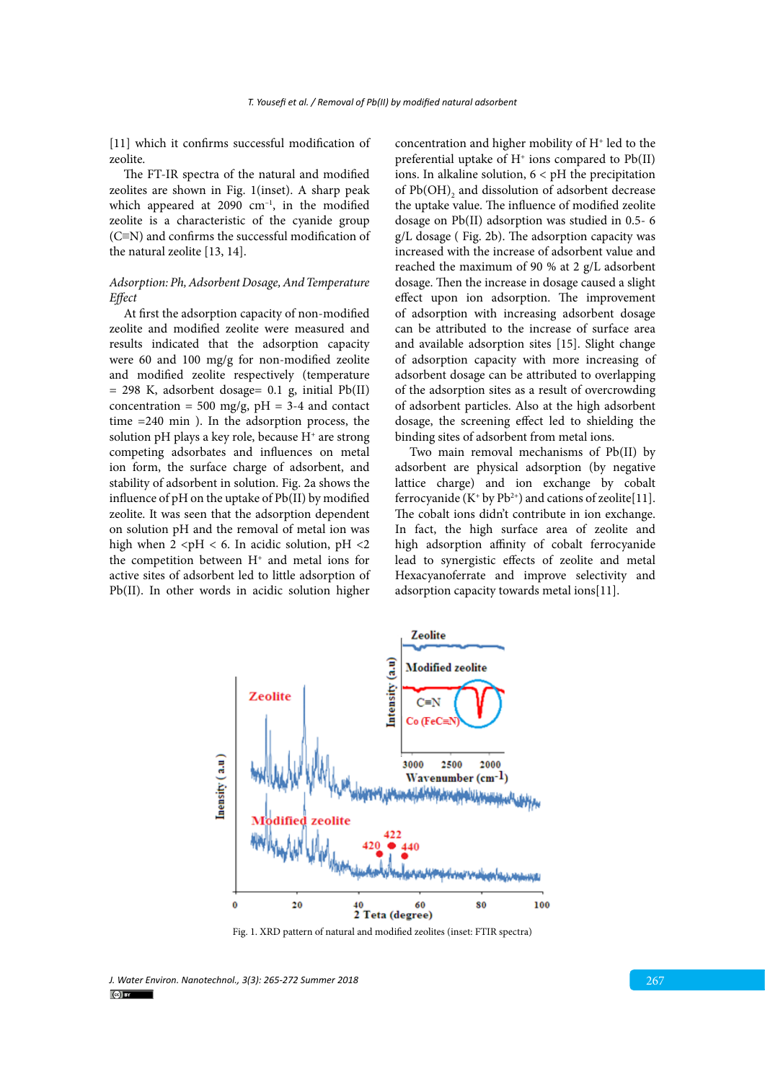[11] which it confirms successful modification of zeolite.

The FT-IR spectra of the natural and modified zeolites are shown in Fig. 1(inset). A sharp peak which appeared at  $2090 \text{ cm}^{-1}$ , in the modified zeolite is a characteristic of the cyanide group (C≡N) and confirms the successful modification of the natural zeolite [13, 14].

# *Adsorption: Ph, Adsorbent Dosage, And Temperature Effect*

At first the adsorption capacity of non-modified zeolite and modified zeolite were measured and results indicated that the adsorption capacity were 60 and 100 mg/g for non-modified zeolite and modified zeolite respectively (temperature  $= 298$  K, adsorbent dosage= 0.1 g, initial Pb(II) concentration = 500 mg/g,  $pH = 3-4$  and contact time =240 min ). In the adsorption process, the solution pH plays a key role, because H<sup>+</sup> are strong competing adsorbates and influences on metal ion form, the surface charge of adsorbent, and stability of adsorbent in solution. Fig. 2a shows the influence of pH on the uptake of Pb(II) by modified zeolite. It was seen that the adsorption dependent on solution pH and the removal of metal ion was high when  $2 < pH < 6$ . In acidic solution, pH <2 the competition between H<sup>+</sup> and metal ions for active sites of adsorbent led to little adsorption of Pb(II). In other words in acidic solution higher concentration and higher mobility of  $H<sup>+</sup>$  led to the preferential uptake of  $H^+$  ions compared to  $Pb(II)$ ions. In alkaline solution, 6 < pH the precipitation of  $Pb(OH)$ <sub>2</sub> and dissolution of adsorbent decrease the uptake value. The influence of modified zeolite dosage on Pb(II) adsorption was studied in 0.5- 6 g/L dosage ( Fig. 2b). The adsorption capacity was increased with the increase of adsorbent value and reached the maximum of 90 % at 2 g/L adsorbent dosage. Then the increase in dosage caused a slight effect upon ion adsorption. The improvement of adsorption with increasing adsorbent dosage can be attributed to the increase of surface area and available adsorption sites [15]. Slight change of adsorption capacity with more increasing of adsorbent dosage can be attributed to overlapping of the adsorption sites as a result of overcrowding of adsorbent particles. Also at the high adsorbent dosage, the screening effect led to shielding the binding sites of adsorbent from metal ions.

Two main removal mechanisms of Pb(II) by adsorbent are physical adsorption (by negative lattice charge) and ion exchange by cobalt ferrocyanide ( $K^+$  by  $Pb^{2+}$ ) and cations of zeolite[11]. The cobalt ions didn't contribute in ion exchange. In fact, the high surface area of zeolite and high adsorption affinity of cobalt ferrocyanide lead to synergistic effects of zeolite and metal Hexacyanoferrate and improve selectivity and adsorption capacity towards metal ions[11].



Fig. 1. XRD pattern of natural and modified zeolites (inset: FTIR spectra)

*J. Water Environ. Nanotechnol., 3(3): 265-272 Summer 2018* 267  $\left($ cc) BY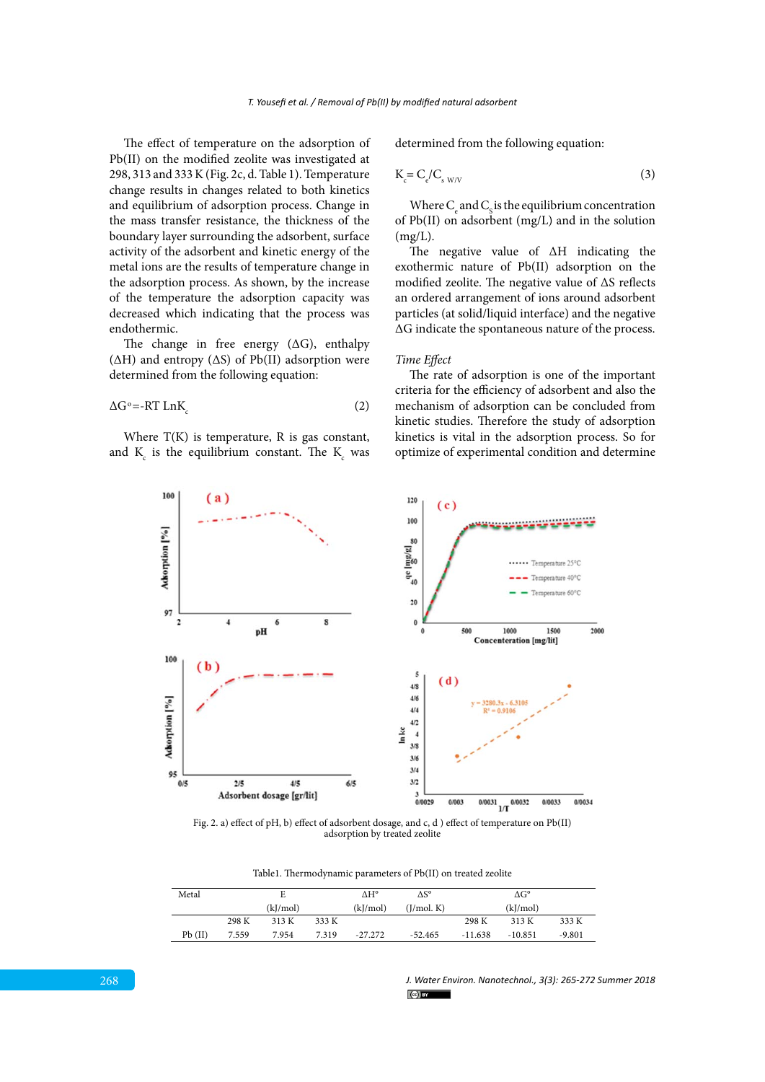The effect of temperature on the adsorption of Pb(II) on the modified zeolite was investigated at 298, 313 and 333 K (Fig. 2c, d. Table 1). Temperature change results in changes related to both kinetics and equilibrium of adsorption process. Change in the mass transfer resistance, the thickness of the boundary layer surrounding the adsorbent, surface activity of the adsorbent and kinetic energy of the metal ions are the results of temperature change in the adsorption process. As shown, by the increase of the temperature the adsorption capacity was decreased which indicating that the process was endothermic.

The change in free energy  $( \Delta G )$ , enthalpy  $(\Delta H)$  and entropy  $(\Delta S)$  of Pb(II) adsorption were determined from the following equation:

$$
\Delta G^{\circ} = -RT \operatorname{Ln} K_c \tag{2}
$$

Where T(K) is temperature, R is gas constant, and  $K_c$  is the equilibrium constant. The  $K_c$  was determined from the following equation:

$$
K_c = C_e/C_{s \text{W/V}} \tag{3}
$$

Where  $C_{\rm e}$  and  $C_{\rm s}$  is the equilibrium concentration of Pb(II) on adsorbent (mg/L) and in the solution  $(mg/L)$ .

The negative value of ΔH indicating the exothermic nature of Pb(II) adsorption on the modified zeolite. The negative value of ΔS reflects an ordered arrangement of ions around adsorbent particles (at solid/liquid interface) and the negative ΔG indicate the spontaneous nature of the process.

#### *Time Effect*

The rate of adsorption is one of the important criteria for the efficiency of adsorbent and also the mechanism of adsorption can be concluded from kinetic studies. Therefore the study of adsorption kinetics is vital in the adsorption process. So for optimize of experimental condition and determine



Fig. 2. a) effect of pH, b) effect of adsorbent dosage, and c, d ) effect of temperature on Pb(II) adsorption by treated zeolite

Table1: Thermodynamic parameters of Pb(II) on treated zeolite Table1. Thermodynamic parameters of Pb(II) on treated zeolite

| Metal  | E     |          | ΔH°   | $\Delta S^{\circ}$ | $\Delta G^{\circ}$ |           |           |          |
|--------|-------|----------|-------|--------------------|--------------------|-----------|-----------|----------|
|        |       | (kJ/mol) |       | (kJ/mol)           | (J/mol K)          | (kJ/mol)  |           |          |
|        | 298 K | 313 K    | 333 K |                    |                    | 298 K     | 313 K     | 333 K    |
| Pb(II) | 7.559 | 7.954    | 7.319 | $-27.272$          | $-52.465$          | $-11.638$ | $-10.851$ | $-9.801$ |

*J. Water Environ. Nanotechnol., 3(3): 265-272 Summer 2018*  $(c)$  BY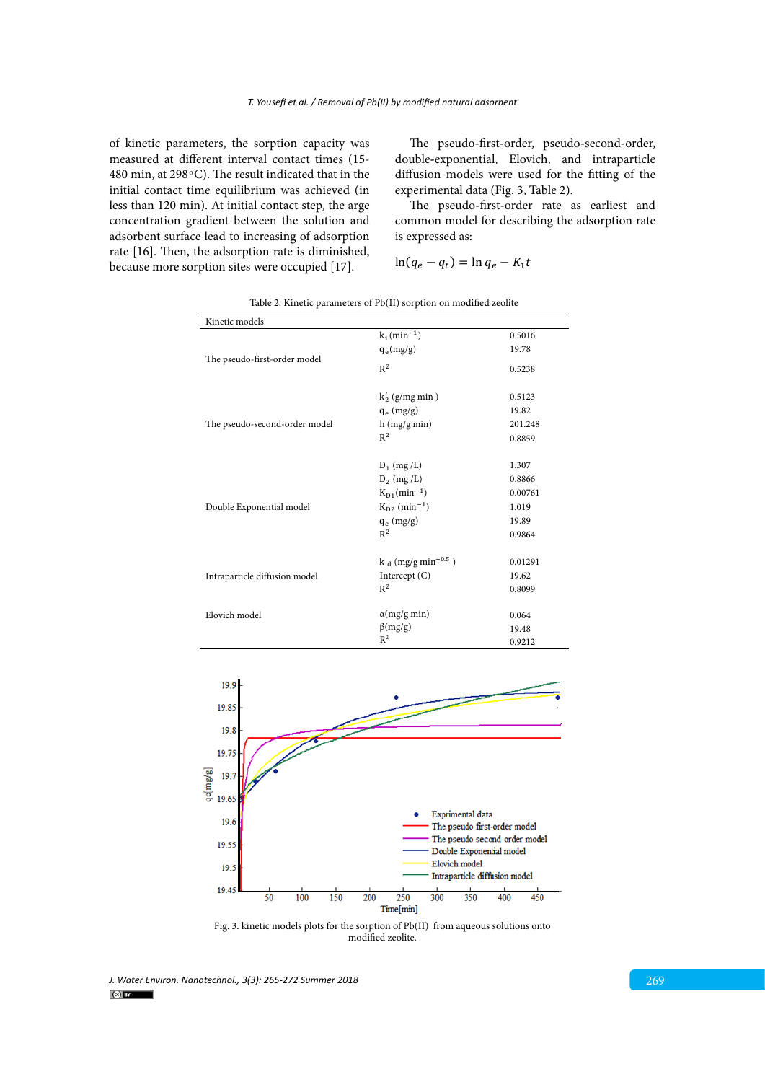of kinetic parameters, the sorption capacity was measured at different interval contact times (15- 480 min, at 298 $\rm{^{\circ}C}$ ). The result indicated that in the initial contact time equilibrium was achieved (in less than 120 min). At initial contact step, the arge concentration gradient between the solution and adsorbent surface lead to increasing of adsorption rate [16]. Then, the adsorption rate is diminished, because more sorption sites were occupied [17].  $I\Box Q_e = q_t = \Pi_1 q_e - \Lambda_1 t$ 

The pseudo-first-order, pseudo-second-order, double-exponential, Elovich, and intraparticle diffusion models were used for the fitting of the experimental data (Fig. 3, Table 2).

The pseudo-first-order rate as earliest and Ine pseudo-inst-order rate as earnest and<br>common model for describing the adsorption rate is expressed as: The pseudo-first-order rate as earliest and common model for describing the adsorption rate is expressed as:

$$
\ln(q_e - q_t) = \ln q_e - K_1 t
$$

| Kinetic models                |                                      |         |
|-------------------------------|--------------------------------------|---------|
|                               | $k_1(min^{-1})$                      | 0.5016  |
|                               | $q_e(mg/g)$                          | 19.78   |
| The pseudo-first-order model  | $\mathbb{R}^2$                       | 0.5238  |
|                               | $k'_2$ (g/mg min)                    | 0.5123  |
|                               | $q_e$ (mg/g)                         | 19.82   |
| The pseudo-second-order model | h (mg/g min)                         | 201.248 |
|                               | $R^2$                                | 0.8859  |
|                               | $D_1$ (mg /L)                        | 1.307   |
|                               | $D_2$ (mg /L)                        | 0.8866  |
|                               | $K_{D1}(min^{-1})$                   | 0.00761 |
| Double Exponential model      | $K_{D2}$ (min <sup>-1</sup> )        | 1.019   |
|                               | $q_e$ (mg/g)                         | 19.89   |
|                               | $R^2$                                | 0.9864  |
|                               | $k_{id}$ (mg/g min <sup>-0.5</sup> ) | 0.01291 |
| Intraparticle diffusion model | Intercept $(C)$                      | 19.62   |
|                               | $R^2$                                | 0.8099  |
| Elovich model                 | $\alpha(mg/g \text{ min})$           | 0.064   |
|                               | $\beta(mg/g)$                        | 19.48   |
|                               | $R^2$                                | 0.9212  |

Table 2. Kinetic parameters of Pb(II) sorption on modified zeolite



modified zeolite. Fig. 3. kinetic models plots for the sorption of Pb(II) from aqueous solutions onto

*J. Water Environ. Nanotechnol., 3(3): 265-272 Summer 2018* 269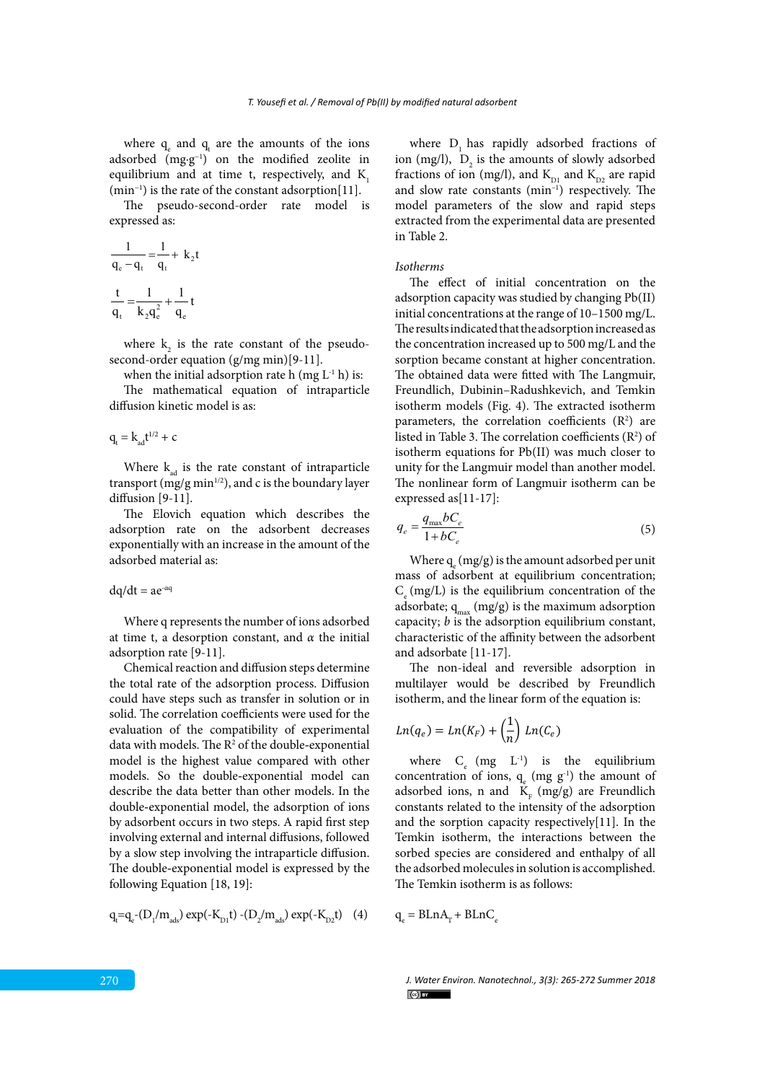where  $q_e$  and  $q_t$  are the amounts of the ions adsorbed (mg·g−1) on the modified zeolite in equilibrium and at time t, respectively, and  $K$ , (min−1) is the rate of the constant adsorption[11].

The pseudo-second-order rate model is expressed as:

$$
\frac{1}{q_e - q_t} = \frac{1}{q_t} + k_2 t
$$

$$
\frac{t}{q_t} = \frac{1}{k_2 q_e^2} + \frac{1}{q_e} t
$$

where  $k_2$  is the rate constant of the pseudosecond-order equation (g/mg min)[9-11].

when the initial adsorption rate h (mg  $L^{-1}$  h) is:

The mathematical equation of intraparticle diffusion kinetic model is as:

 $q_t = k_{ad}t^{1/2} + c$ 

Where  $k_{ad}$  is the rate constant of intraparticle transport (mg/g min<sup>1/2</sup>), and c is the boundary layer diffusion [9-11].

The Elovich equation which describes the adsorption rate on the adsorbent decreases exponentially with an increase in the amount of the adsorbed material as:

$$
dq/dt = ae^{-\alpha q}
$$

Where q represents the number of ions adsorbed at time t, a desorption constant, and *α* the initial adsorption rate [9-11].

Chemical reaction and diffusion steps determine the total rate of the adsorption process. Diffusion could have steps such as transfer in solution or in solid. The correlation coefficients were used for the evaluation of the compatibility of experimental data with models. The R<sup>2</sup> of the double-exponential model is the highest value compared with other models. So the double**-**exponential model can describe the data better than other models. In the double**-**exponential model, the adsorption of ions by adsorbent occurs in two steps. A rapid first step involving external and internal diffusions, followed by a slow step involving the intraparticle diffusion. The double**-**exponential model is expressed by the following Equation [18, 19]:

$$
q_t = q_e - (D_1/m_{ads}) \exp(-K_{D1}t) - (D_2/m_{ads}) \exp(-K_{D2}t)
$$
 (4)

where  $D_1$  has rapidly adsorbed fractions of ion (mg/l),  $D_2$  is the amounts of slowly adsorbed fractions of ion (mg/l), and  $K_{D1}$  and  $K_{D2}$  are rapid and slow rate constants (min–1) respectively. The model parameters of the slow and rapid steps extracted from the experimental data are presented in Table 2.

#### *Isotherms*

The effect of initial concentration on the adsorption capacity was studied by changing Pb(II) initial concentrations at the range of 10–1500 mg/L. The results indicated that the adsorption increased as the concentration increased up to 500 mg/L and the sorption became constant at higher concentration. The obtained data were fitted with The Langmuir, Freundlich, Dubinin–Radushkevich, and Temkin isotherm models (Fig. 4). The extracted isotherm parameters, the correlation coefficients  $(R^2)$  are listed in Table 3. The correlation coefficients  $(R^2)$  of isotherm equations for Pb(II) was much closer to unity for the Langmuir model than another model. The nonlinear form of Langmuir isotherm can be expressed as[11-17]:

$$
q_e = \frac{q_{\text{max}}bC_e}{1 + bC_e} \tag{5}
$$

Where  $q_e$  (mg/g) is the amount adsorbed per unit mass of adsorbent at equilibrium concentration;  $C_{\alpha}$  (mg/L) is the equilibrium concentration of the adsorbate;  $q_{max}$  (mg/g) is the maximum adsorption capacity; *b* is the adsorption equilibrium constant, characteristic of the affinity between the adsorbent and adsorbate [11-17].

The non-ideal and reversible adsorption in multilayer would be described by Freundlich isotherm, and the linear form of the equation is:

$$
Ln(q_e) = Ln(K_F) + \left(\frac{1}{n}\right) Ln(C_e)
$$

where  $C_e$  (mg  $L^{-1}$ ) is the equilibrium concentration of ions,  $q_e$  (mg  $g<sup>-1</sup>$ ) the amount of adsorbed ions, n and  $K_F$  (mg/g) are Freundlich constants related to the intensity of the adsorption and the sorption capacity respectively[11]. In the Temkin isotherm, the interactions between the sorbed species are considered and enthalpy of all the adsorbed molecules in solution is accomplished. The Temkin isotherm is as follows:

 $q_e = BLnA_T + BLnC_e$ 

*J. Water Environ. Nanotechnol., 3(3): 265-272 Summer 2018*  $\left(\alpha\right)$  BY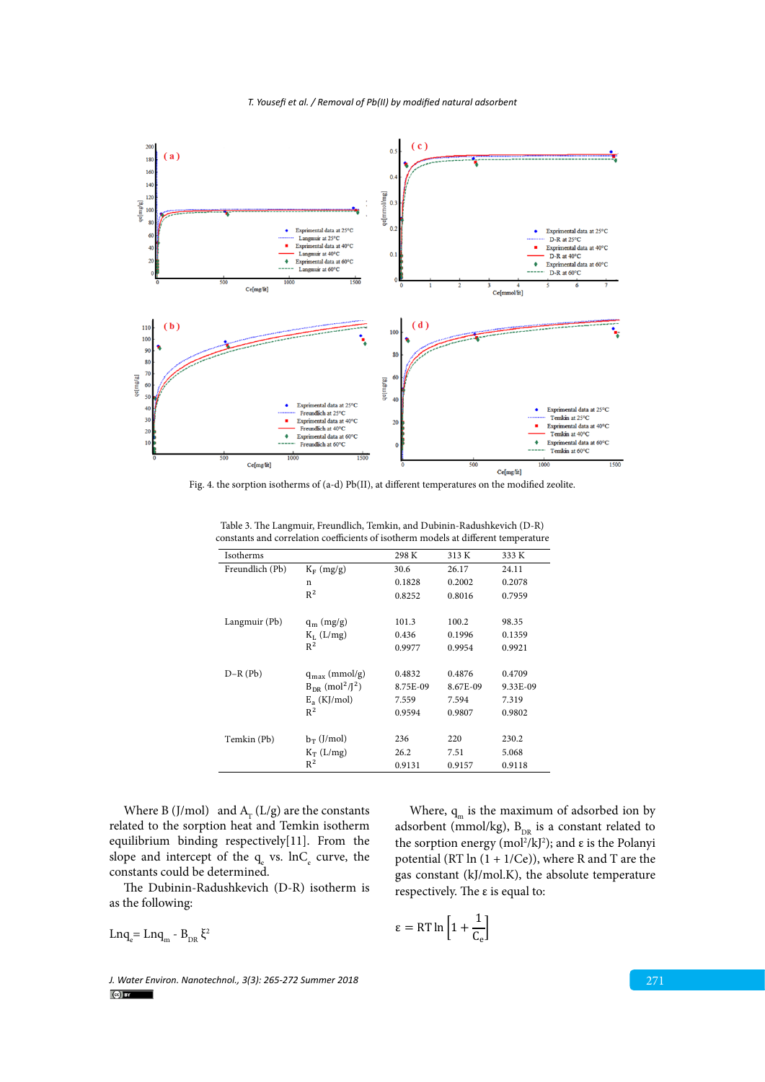*T. Yousefi et al. / Removal of Pb(II) by modified natural adsorbent*



Fig. 4. the sorption isotherms of (a-d) Pb(II), at different temperatures on the modified zeolite.

| Isotherms       |                                              | 298 K    | 313 K    | 333 K    |
|-----------------|----------------------------------------------|----------|----------|----------|
| Freundlich (Pb) | $K_F$ (mg/g)                                 | 30.6     | 26.17    | 24.11    |
|                 | n                                            | 0.1828   | 0.2002   | 0.2078   |
|                 | $R^2$                                        | 0.8252   | 0.8016   | 0.7959   |
|                 |                                              |          |          |          |
| Langmuir (Pb)   | $q_m$ (mg/g)                                 | 101.3    | 100.2    | 98.35    |
|                 | $K_L$ (L/mg)                                 | 0.436    | 0.1996   | 0.1359   |
|                 | $R^2$                                        | 0.9977   | 0.9954   | 0.9921   |
|                 |                                              |          |          |          |
| $D-R(Pb)$       | $q_{max}$ (mmol/g)                           | 0.4832   | 0.4876   | 0.4709   |
|                 | $B_{DR}$ (mol <sup>2</sup> /J <sup>2</sup> ) | 8.75E-09 | 8.67E-09 | 9.33E-09 |
|                 | $E_a$ (KJ/mol)                               | 7.559    | 7.594    | 7.319    |
|                 | $R^2$                                        | 0.9594   | 0.9807   | 0.9802   |
|                 |                                              |          |          |          |
| Temkin (Pb)     | $b_T$ (J/mol)                                | 236      | 220      | 230.2    |
|                 | $K_T$ (L/mg)                                 | 26.2     | 7.51     | 5.068    |
|                 | $R^2$                                        | 0.9131   | 0.9157   | 0.9118   |

Table 2. The Langmuir, Freundlich, Temkin, and D-R) constants and correlation coefficients and coefficients of isotherm models at  $\mathcal{L}$ Table 3. The Langmuir, Freundlich, Temkin, and Dubinin-Radushkevich (D-R) constants and correlation coefficients of isotherm models at different temperature

Where B (J/mol) and  $A_r$  (L/g) are the constants related to the sorption heat and Temkin isotherm equilibrium binding respectively[11]. From the slope and intercept of the  $q_{e}$  vs.  $lnC_{e}$  curve, the constants could be determined.

The Dubinin-Radushkevich (D-R) isotherm is as the following:

Lnq<sub>e</sub> = Lnq<sub>m</sub> - B<sub>DR</sub> $\xi^2$ 

gas constant (kJ/mol.K), the absolute temperature respectively. The ε is equal to:

Where,  $q_m$  is the maximum of adsorbed ion by adsorbent (mmol/kg),  $B_{DR}$  is a constant related to the sorption energy (mol<sup>2</sup>/kJ<sup>2</sup>); and ε is the Polanyi potential (RT  $\ln(1 + 1/Ce)$ ), where R and T are the

*J. Water Environ. Nanotechnol., 3(3): 265-272 Summer 2018* 271 2018 271 2018